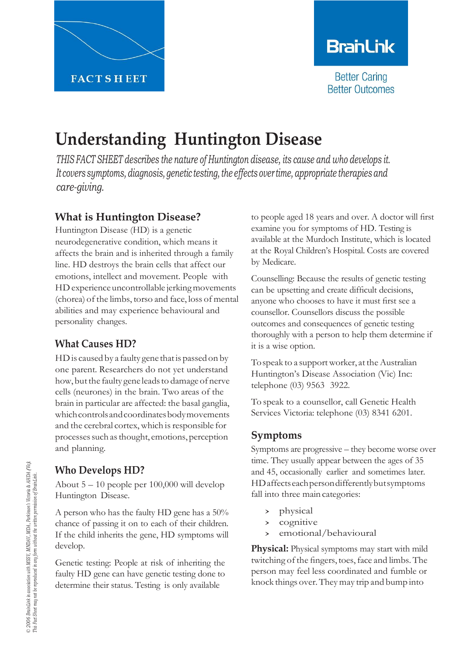

# **BranLink**

**Better Caring Better Outcomes** 

# **Understanding Huntington Disease**

*THIS FACT SHEET describes the nature of Huntington disease, its cause and who develops it. It covers symptoms, diagnosis, genetic testing, the effects over time, appropriate therapies and care-giving.*

## **What is Huntington Disease?**

Huntington Disease (HD) is a genetic neurodegenerative condition, which means it affects the brain and is inherited through a family line. HD destroys the brain cells that affect our emotions, intellect and movement. People with HD experience uncontrollable jerking movements (chorea) of the limbs, torso and face, loss of mental abilities and may experience behavioural and personality changes.

#### **What Causes HD?**

HD is caused by a faulty gene that is passed on by one parent. Researchers do not yet understand how, but the faulty gene leads to damage of nerve cells (neurones) in the brain. Two areas of the brain in particular are affected: the basal ganglia, which controls and coordinates body movements and the cerebral cortex, which is responsible for processes such as thought, emotions, perception and planning.

### **Who Develops HD?**

About 5 – 10 people per 100,000 will develop Huntington Disease.

A person who has the faulty HD gene has a 50% chance of passing it on to each of their children. If the child inherits the gene, HD symptoms will develop.

Genetic testing: People at risk of inheriting the faulty HD gene can have genetic testing done to determine their status. Testing is only available

to people aged 18 years and over. A doctor will first examine you for symptoms of HD. Testing is available at the Murdoch Institute, which is located at the Royal Children's Hospital. Costs are covered by Medicare.

Counselling: Because the results of genetic testing can be upsetting and create difficult decisions, anyone who chooses to have it must first see a counsellor. Counsellors discuss the possible outcomes and consequences of genetic testing thoroughly with a person to help them determine if it is a wise option.

To speak to a support worker, at the Australian Huntington's Disease Association (Vic) Inc: telephone (03) 9563 3922.

To speak to a counsellor, call Genetic Health Services Victoria: telephone (03) 8341 6201.

#### **Symptoms**

Symptoms are progressive – they become worse over time. They usually appear between the ages of 35 and 45, occasionally earlier and sometimes later. HDaffectseachpersondifferentlybutsymptoms fall into three main categories:

- > physical<br>> cognitive
- cognitive
- emotional/behavioural

**Physical:** Physical symptoms may start with mild twitching of the fingers, toes, face and limbs. The person may feel less coordinated and fumble or knock things over.Theymay trip and bump into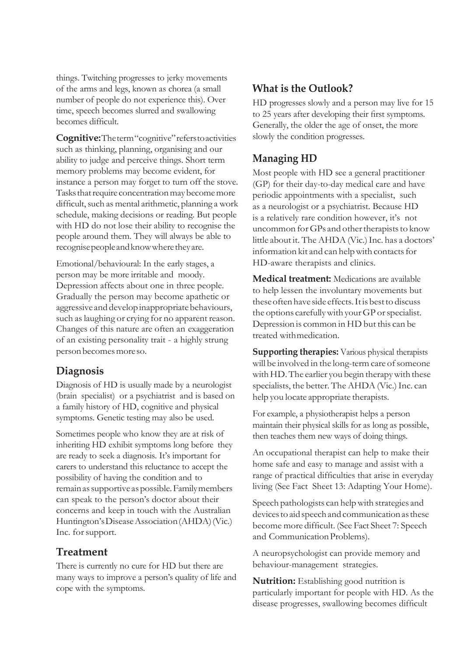things. Twitching progresses to jerky movements of the arms and legs, known as chorea (a small number of people do not experience this). Over time, speech becomes slurred and swallowing becomes difficult.

**Cognitive:**Theterm"cognitive"referstoactivities such as thinking, planning, organising and our ability to judge and perceive things. Short term memory problems may become evident, for instance a person may forget to turn off the stove. Tasks that require concentration may become more difficult, such as mental arithmetic, planning a work schedule, making decisions or reading. But people with HD do not lose their ability to recognise the people around them. They will always be able to recognisepeopleandknowwheretheyare.

Emotional/behavioural: In the early stages, a person may be more irritable and moody. Depression affects about one in three people. Gradually the person may become apathetic or aggressive and develop inappropriate behaviours, such as laughing or crying for no apparent reason. Changes of this nature are often an exaggeration of an existing personality trait - a highly strung personbecomesmoreso.

#### **Diagnosis**

Diagnosis of HD is usually made by a neurologist (brain specialist) or a psychiatrist and is based on a family history of HD, cognitive and physical symptoms. Genetic testing may also be used.

Sometimes people who know they are at risk of inheriting HD exhibit symptoms long before they are ready to seek a diagnosis. It's important for carers to understand this reluctance to accept the possibility of having the condition and to remain as supportive as possible. Family members can speak to the person's doctor about their concerns and keep in touch with the Australian Huntington'sDiseaseAssociation(AHDA)(Vic.) Inc. forsupport.

## **Treatment**

There is currently no cure for HD but there are many ways to improve a person's quality of life and cope with the symptoms.

## **What is the Outlook?**

HD progresses slowly and a person may live for 15 to 25 years after developing their first symptoms. Generally, the older the age of onset, the more slowly the condition progresses.

# **Managing HD**

Most people with HD see a general practitioner (GP) for their day-to-day medical care and have periodic appointments with a specialist, such as a neurologist or a psychiatrist. Because HD is a relatively rare condition however, it's not uncommon for GPs and other therapists to know little about it. The AHDA (Vic.) Inc. has a doctors' information kit and can help with contacts for HD-aware therapists and clinics.

**Medical treatment:** Medications are available to help lessen the involuntary movements but theseoftenhave side effects.Itisbestto discuss the options carefully with your GP or specialist. Depression is common in HD but this can be treated withmedication.

**Supporting therapies:** Various physical therapists will be involved in the long-term care of someone with HD. The earlier you begin therapy with these specialists, the better. The AHDA (Vic.) Inc. can help you locate appropriate therapists.

For example, a physiotherapist helps a person maintain their physical skills for as long as possible, then teaches them new ways of doing things.

An occupational therapist can help to make their home safe and easy to manage and assist with a range of practical difficulties that arise in everyday living (See Fact Sheet 13: Adapting Your Home).

Speech pathologists can helpwith strategies and devices to aid speech and communication as these become more difficult. (See Fact Sheet 7: Speech and Communication Problems).

A neuropsychologist can provide memory and behaviour-management strategies.

**Nutrition:** Establishing good nutrition is particularly important for people with HD. As the disease progresses, swallowing becomes difficult